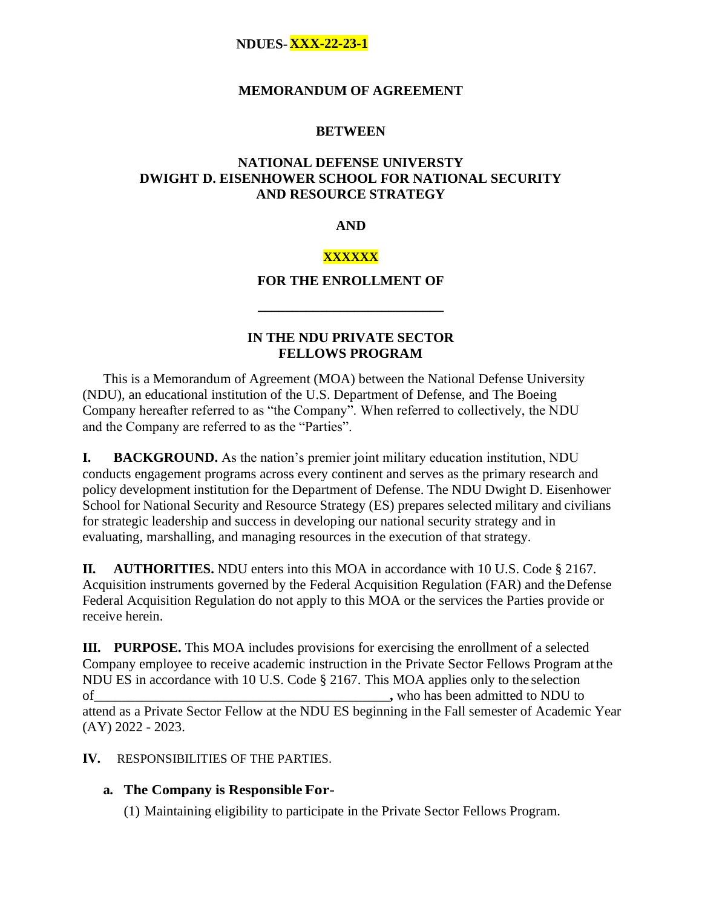### **MEMORANDUM OF AGREEMENT**

### **BETWEEN**

## **NATIONAL DEFENSE UNIVERSTY DWIGHT D. EISENHOWER SCHOOL FOR NATIONAL SECURITY AND RESOURCE STRATEGY**

### **AND**

## **XXXXXX**

## **FOR THE ENROLLMENT OF**

**\_\_\_\_\_\_\_\_\_\_\_\_\_\_\_\_\_\_\_\_\_\_\_\_\_\_\_**

## **IN THE NDU PRIVATE SECTOR FELLOWS PROGRAM**

This is a Memorandum of Agreement (MOA) between the National Defense University (NDU), an educational institution of the U.S. Department of Defense, and The Boeing Company hereafter referred to as "the Company". When referred to collectively, the NDU and the Company are referred to as the "Parties".

**I. BACKGROUND.** As the nation's premier joint military education institution, NDU conducts engagement programs across every continent and serves as the primary research and policy development institution for the Department of Defense. The NDU Dwight D. Eisenhower School for National Security and Resource Strategy (ES) prepares selected military and civilians for strategic leadership and success in developing our national security strategy and in evaluating, marshalling, and managing resources in the execution of that strategy.

**II. AUTHORITIES.** NDU enters into this MOA in accordance with 10 U.S. Code § 2167. Acquisition instruments governed by the Federal Acquisition Regulation (FAR) and theDefense Federal Acquisition Regulation do not apply to this MOA or the services the Parties provide or receive herein.

**III. PURPOSE.** This MOA includes provisions for exercising the enrollment of a selected Company employee to receive academic instruction in the Private Sector Fellows Program atthe NDU ES in accordance with 10 U.S. Code § 2167. This MOA applies only to the selection of seen admitted to NDU to attend as a Private Sector Fellow at the NDU ES beginning in the Fall semester of Academic Year (AY) 2022 - 2023.

## **IV.** RESPONSIBILITIES OF THE PARTIES.

## **a. The Company is Responsible For-**

(1) Maintaining eligibility to participate in the Private Sector Fellows Program.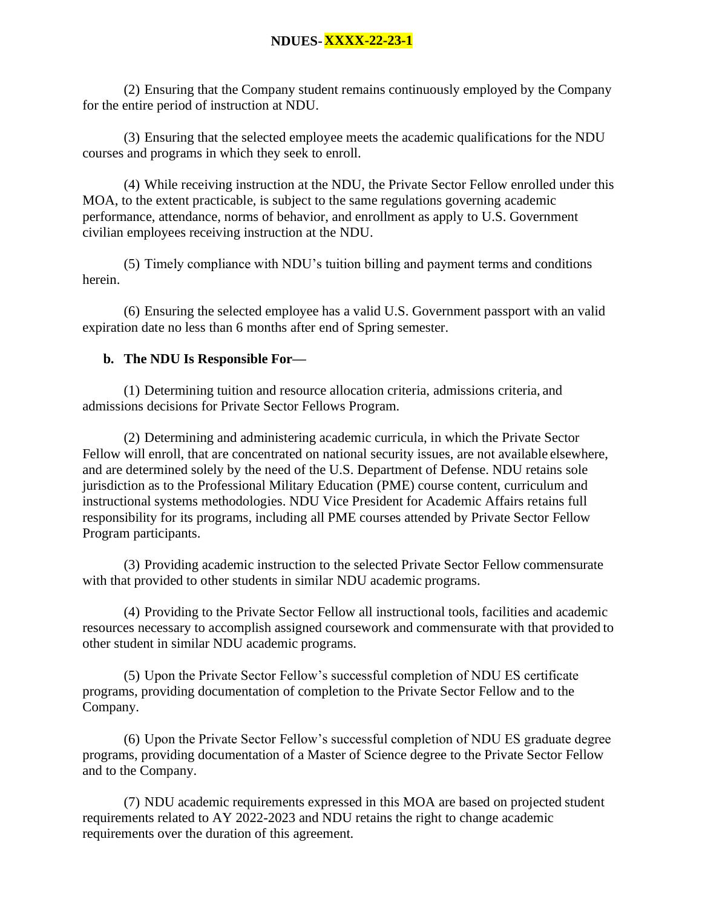(2) Ensuring that the Company student remains continuously employed by the Company for the entire period of instruction at NDU.

(3) Ensuring that the selected employee meets the academic qualifications for the NDU courses and programs in which they seek to enroll.

(4) While receiving instruction at the NDU, the Private Sector Fellow enrolled under this MOA, to the extent practicable, is subject to the same regulations governing academic performance, attendance, norms of behavior, and enrollment as apply to U.S. Government civilian employees receiving instruction at the NDU.

(5) Timely compliance with NDU's tuition billing and payment terms and conditions herein.

(6) Ensuring the selected employee has a valid U.S. Government passport with an valid expiration date no less than 6 months after end of Spring semester.

## **b. The NDU Is Responsible For—**

(1) Determining tuition and resource allocation criteria, admissions criteria, and admissions decisions for Private Sector Fellows Program.

(2) Determining and administering academic curricula, in which the Private Sector Fellow will enroll, that are concentrated on national security issues, are not available elsewhere, and are determined solely by the need of the U.S. Department of Defense. NDU retains sole jurisdiction as to the Professional Military Education (PME) course content, curriculum and instructional systems methodologies. NDU Vice President for Academic Affairs retains full responsibility for its programs, including all PME courses attended by Private Sector Fellow Program participants.

(3) Providing academic instruction to the selected Private Sector Fellow commensurate with that provided to other students in similar NDU academic programs.

(4) Providing to the Private Sector Fellow all instructional tools, facilities and academic resources necessary to accomplish assigned coursework and commensurate with that provided to other student in similar NDU academic programs.

(5) Upon the Private Sector Fellow's successful completion of NDU ES certificate programs, providing documentation of completion to the Private Sector Fellow and to the Company.

(6) Upon the Private Sector Fellow's successful completion of NDU ES graduate degree programs, providing documentation of a Master of Science degree to the Private Sector Fellow and to the Company.

(7) NDU academic requirements expressed in this MOA are based on projected student requirements related to AY 2022-2023 and NDU retains the right to change academic requirements over the duration of this agreement.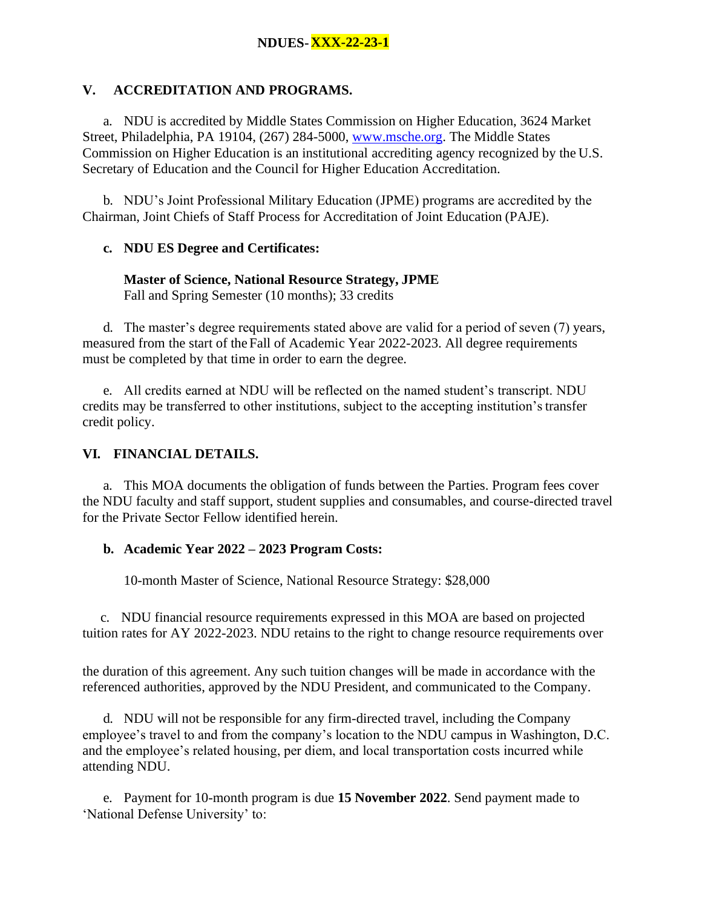## **V. ACCREDITATION AND PROGRAMS.**

a. NDU is accredited by Middle States Commission on Higher Education, 3624 Market Street, Philadelphia, PA 19104, (267) 284-5000, [www.msche.org. T](http://www.msche.org/)he Middle States Commission on Higher Education is an institutional accrediting agency recognized by the U.S. Secretary of Education and the Council for Higher Education Accreditation.

b. NDU's Joint Professional Military Education (JPME) programs are accredited by the Chairman, Joint Chiefs of Staff Process for Accreditation of Joint Education (PAJE).

## **c. NDU ES Degree and Certificates:**

# **Master of Science, National Resource Strategy, JPME**

Fall and Spring Semester (10 months); 33 credits

d. The master's degree requirements stated above are valid for a period of seven (7) years, measured from the start of the Fall of Academic Year 2022-2023. All degree requirements must be completed by that time in order to earn the degree.

e. All credits earned at NDU will be reflected on the named student's transcript. NDU credits may be transferred to other institutions, subject to the accepting institution's transfer credit policy.

# **VI. FINANCIAL DETAILS.**

a. This MOA documents the obligation of funds between the Parties. Program fees cover the NDU faculty and staff support, student supplies and consumables, and course-directed travel for the Private Sector Fellow identified herein.

# **b. Academic Year 2022 – 2023 Program Costs:**

10-month Master of Science, National Resource Strategy: \$28,000

c. NDU financial resource requirements expressed in this MOA are based on projected tuition rates for AY 2022-2023. NDU retains to the right to change resource requirements over

the duration of this agreement. Any such tuition changes will be made in accordance with the referenced authorities, approved by the NDU President, and communicated to the Company.

d. NDU will not be responsible for any firm-directed travel, including the Company employee's travel to and from the company's location to the NDU campus in Washington, D.C. and the employee's related housing, per diem, and local transportation costs incurred while attending NDU.

e. Payment for 10-month program is due **15 November 2022**. Send payment made to 'National Defense University' to: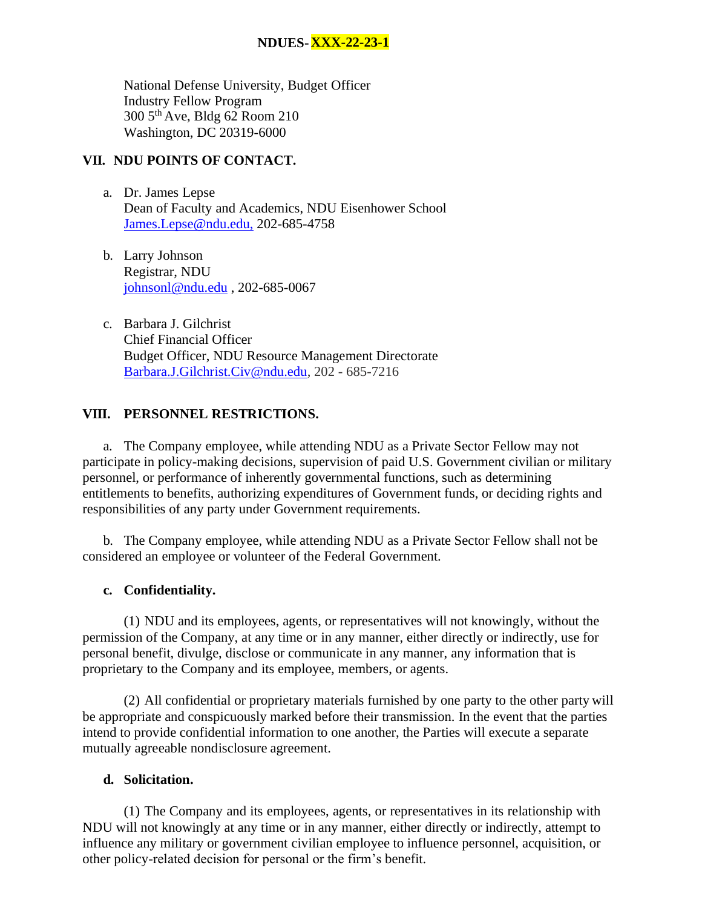National Defense University, Budget Officer Industry Fellow Program 300 5th Ave, Bldg 62 Room 210 Washington, DC 20319-6000

# **VII. NDU POINTS OF CONTACT.**

- a. Dr. James Lepse Dean of Faculty and Academics, NDU Eisenhower School [James.Lepse@ndu.edu,](mailto:James.Lepse@ndu.edu) 202-685-4758
- b. Larry Johnson Registrar, NDU [johnsonl@ndu.edu](mailto:johnsonl@ndu.edu) , 202-685-0067
- c. Barbara J. Gilchrist Chief Financial Officer Budget Officer, NDU Resource Management Directorate [Barbara.J.Gilchrist.Civ@ndu.edu,](mailto:Barbara.J.Gilchrist.Civ@ndu.edu) 202 - 685-7216

## **VIII. PERSONNEL RESTRICTIONS.**

a. The Company employee, while attending NDU as a Private Sector Fellow may not participate in policy-making decisions, supervision of paid U.S. Government civilian or military personnel, or performance of inherently governmental functions, such as determining entitlements to benefits, authorizing expenditures of Government funds, or deciding rights and responsibilities of any party under Government requirements.

b. The Company employee, while attending NDU as a Private Sector Fellow shall not be considered an employee or volunteer of the Federal Government.

## **c. Confidentiality.**

(1) NDU and its employees, agents, or representatives will not knowingly, without the permission of the Company, at any time or in any manner, either directly or indirectly, use for personal benefit, divulge, disclose or communicate in any manner, any information that is proprietary to the Company and its employee, members, or agents.

(2) All confidential or proprietary materials furnished by one party to the other party will be appropriate and conspicuously marked before their transmission. In the event that the parties intend to provide confidential information to one another, the Parties will execute a separate mutually agreeable nondisclosure agreement.

### **d. Solicitation.**

(1) The Company and its employees, agents, or representatives in its relationship with NDU will not knowingly at any time or in any manner, either directly or indirectly, attempt to influence any military or government civilian employee to influence personnel, acquisition, or other policy-related decision for personal or the firm's benefit.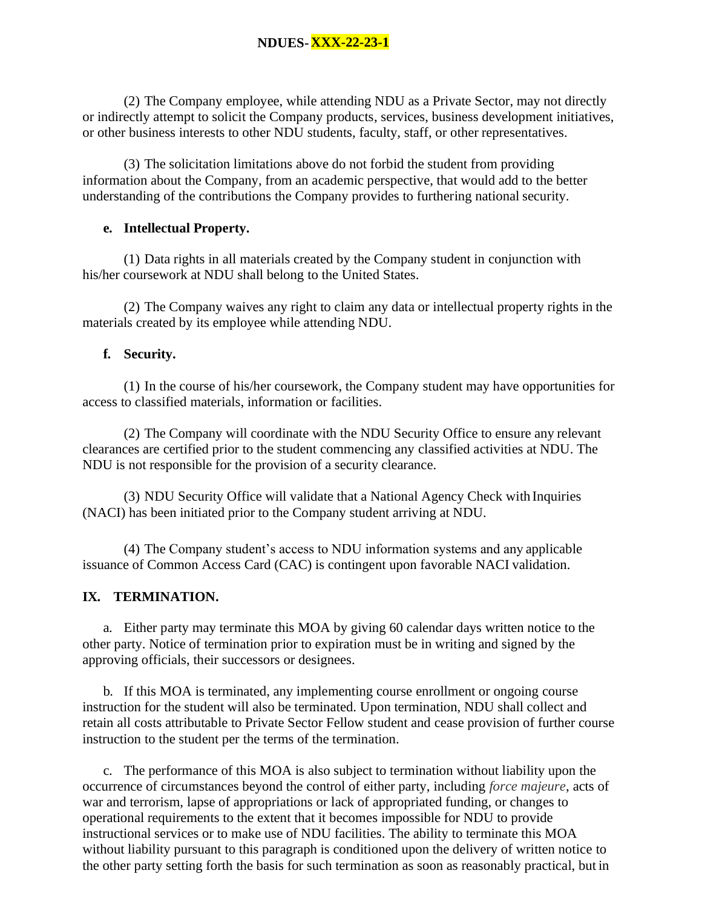(2) The Company employee, while attending NDU as a Private Sector, may not directly or indirectly attempt to solicit the Company products, services, business development initiatives, or other business interests to other NDU students, faculty, staff, or other representatives.

(3) The solicitation limitations above do not forbid the student from providing information about the Company, from an academic perspective, that would add to the better understanding of the contributions the Company provides to furthering national security.

### **e. Intellectual Property.**

(1) Data rights in all materials created by the Company student in conjunction with his/her coursework at NDU shall belong to the United States.

(2) The Company waives any right to claim any data or intellectual property rights in the materials created by its employee while attending NDU.

## **f. Security.**

(1) In the course of his/her coursework, the Company student may have opportunities for access to classified materials, information or facilities.

(2) The Company will coordinate with the NDU Security Office to ensure any relevant clearances are certified prior to the student commencing any classified activities at NDU. The NDU is not responsible for the provision of a security clearance.

(3) NDU Security Office will validate that a National Agency Check with Inquiries (NACI) has been initiated prior to the Company student arriving at NDU.

(4) The Company student's access to NDU information systems and any applicable issuance of Common Access Card (CAC) is contingent upon favorable NACI validation.

## **IX. TERMINATION.**

a. Either party may terminate this MOA by giving 60 calendar days written notice to the other party. Notice of termination prior to expiration must be in writing and signed by the approving officials, their successors or designees.

b. If this MOA is terminated, any implementing course enrollment or ongoing course instruction for the student will also be terminated. Upon termination, NDU shall collect and retain all costs attributable to Private Sector Fellow student and cease provision of further course instruction to the student per the terms of the termination.

c. The performance of this MOA is also subject to termination without liability upon the occurrence of circumstances beyond the control of either party, including *force majeure*, acts of war and terrorism, lapse of appropriations or lack of appropriated funding, or changes to operational requirements to the extent that it becomes impossible for NDU to provide instructional services or to make use of NDU facilities. The ability to terminate this MOA without liability pursuant to this paragraph is conditioned upon the delivery of written notice to the other party setting forth the basis for such termination as soon as reasonably practical, but in